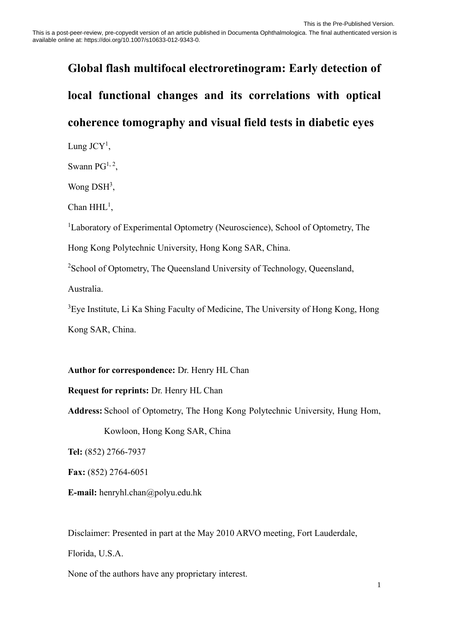# **Global flash multifocal electroretinogram: Early detection of local functional changes and its correlations with optical coherence tomography and visual field tests in diabetic eyes**

Lung J $CY<sup>1</sup>$ ,

Swann  $PG^{1, 2}$ ,

Wong DSH<sup>3</sup>,

Chan HHL<sup>1</sup>,

<sup>1</sup>Laboratory of Experimental Optometry (Neuroscience), School of Optometry, The Hong Kong Polytechnic University, Hong Kong SAR, China.

<sup>2</sup>School of Optometry, The Queensland University of Technology, Queensland,

Australia.

<sup>3</sup>Eye Institute, Li Ka Shing Faculty of Medicine, The University of Hong Kong, Hong Kong SAR, China.

# **Author for correspondence:** Dr. Henry HL Chan

**Request for reprints:** Dr. Henry HL Chan

**Address:** School of Optometry, The Hong Kong Polytechnic University, Hung Hom,

Kowloon, Hong Kong SAR, China

**Tel:** (852) 2766-7937

**Fax:** (852) 2764-6051

**E-mail:** henryhl.chan@polyu.edu.hk

Disclaimer: Presented in part at the May 2010 ARVO meeting, Fort Lauderdale,

Florida, U.S.A.

None of the authors have any proprietary interest.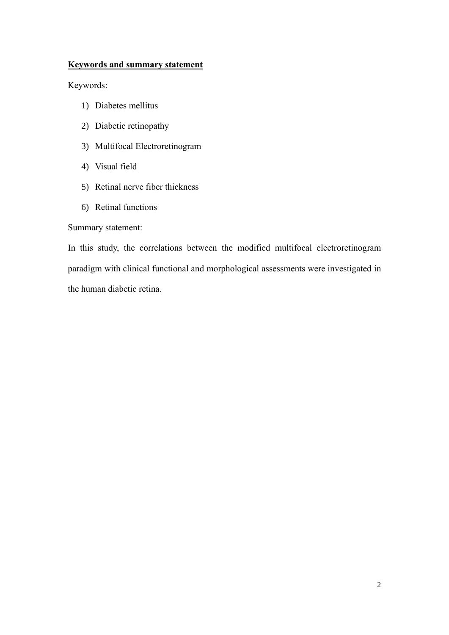# **Keywords and summary statement**

Keywords:

- 1) Diabetes mellitus
- 2) Diabetic retinopathy
- 3) Multifocal Electroretinogram
- 4) Visual field
- 5) Retinal nerve fiber thickness
- 6) Retinal functions

## Summary statement:

In this study, the correlations between the modified multifocal electroretinogram paradigm with clinical functional and morphological assessments were investigated in the human diabetic retina.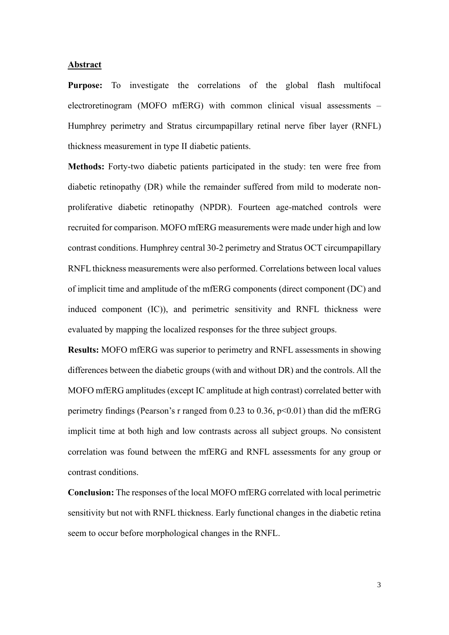#### **Abstract**

**Purpose:** To investigate the correlations of the global flash multifocal electroretinogram (MOFO mfERG) with common clinical visual assessments – Humphrey perimetry and Stratus circumpapillary retinal nerve fiber layer (RNFL) thickness measurement in type II diabetic patients.

**Methods:** Forty-two diabetic patients participated in the study: ten were free from diabetic retinopathy (DR) while the remainder suffered from mild to moderate nonproliferative diabetic retinopathy (NPDR). Fourteen age-matched controls were recruited for comparison. MOFO mfERG measurements were made under high and low contrast conditions. Humphrey central 30-2 perimetry and Stratus OCT circumpapillary RNFL thickness measurements were also performed. Correlations between local values of implicit time and amplitude of the mfERG components (direct component (DC) and induced component (IC)), and perimetric sensitivity and RNFL thickness were evaluated by mapping the localized responses for the three subject groups.

**Results:** MOFO mfERG was superior to perimetry and RNFL assessments in showing differences between the diabetic groups (with and without DR) and the controls. All the MOFO mfERG amplitudes (except IC amplitude at high contrast) correlated better with perimetry findings (Pearson's r ranged from  $0.23$  to  $0.36$ ,  $p<0.01$ ) than did the mfERG implicit time at both high and low contrasts across all subject groups. No consistent correlation was found between the mfERG and RNFL assessments for any group or contrast conditions.

**Conclusion:** The responses of the local MOFO mfERG correlated with local perimetric sensitivity but not with RNFL thickness. Early functional changes in the diabetic retina seem to occur before morphological changes in the RNFL.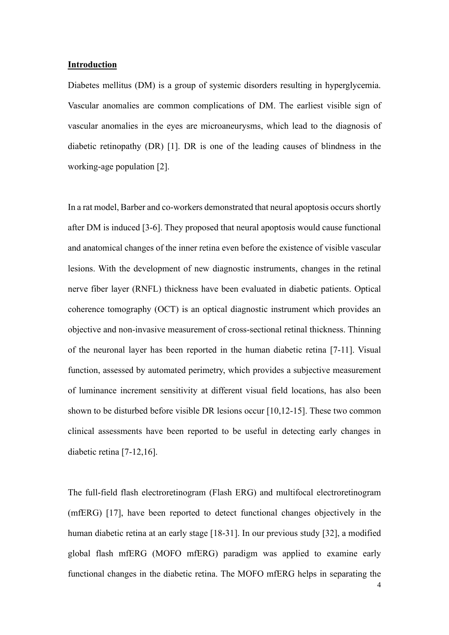#### **Introduction**

Diabetes mellitus (DM) is a group of systemic disorders resulting in hyperglycemia. Vascular anomalies are common complications of DM. The earliest visible sign of vascular anomalies in the eyes are microaneurysms, which lead to the diagnosis of diabetic retinopathy (DR) [1]. DR is one of the leading causes of blindness in the working-age population [2].

In a rat model, Barber and co-workers demonstrated that neural apoptosis occurs shortly after DM is induced [3-6]. They proposed that neural apoptosis would cause functional and anatomical changes of the inner retina even before the existence of visible vascular lesions. With the development of new diagnostic instruments, changes in the retinal nerve fiber layer (RNFL) thickness have been evaluated in diabetic patients. Optical coherence tomography (OCT) is an optical diagnostic instrument which provides an objective and non-invasive measurement of cross-sectional retinal thickness. Thinning of the neuronal layer has been reported in the human diabetic retina [7-11]. Visual function, assessed by automated perimetry, which provides a subjective measurement of luminance increment sensitivity at different visual field locations, has also been shown to be disturbed before visible DR lesions occur [10,12-15]. These two common clinical assessments have been reported to be useful in detecting early changes in diabetic retina [7-12,16].

The full-field flash electroretinogram (Flash ERG) and multifocal electroretinogram (mfERG) [17], have been reported to detect functional changes objectively in the human diabetic retina at an early stage [18-31]. In our previous study [32], a modified global flash mfERG (MOFO mfERG) paradigm was applied to examine early functional changes in the diabetic retina. The MOFO mfERG helps in separating the

4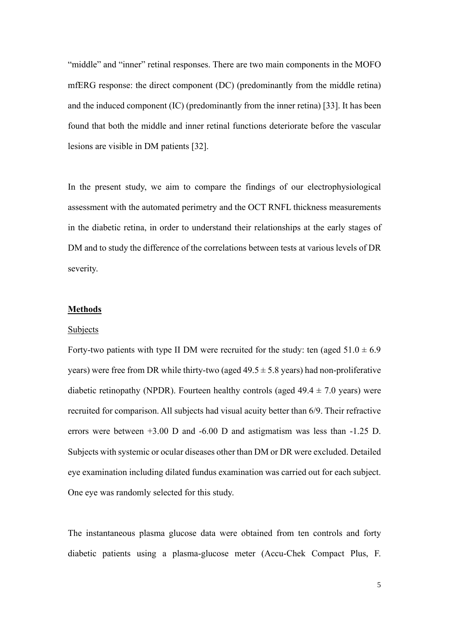"middle" and "inner" retinal responses. There are two main components in the MOFO mfERG response: the direct component (DC) (predominantly from the middle retina) and the induced component (IC) (predominantly from the inner retina) [33]. It has been found that both the middle and inner retinal functions deteriorate before the vascular lesions are visible in DM patients [32].

In the present study, we aim to compare the findings of our electrophysiological assessment with the automated perimetry and the OCT RNFL thickness measurements in the diabetic retina, in order to understand their relationships at the early stages of DM and to study the difference of the correlations between tests at various levels of DR severity.

#### **Methods**

#### Subjects

Forty-two patients with type II DM were recruited for the study: ten (aged  $51.0 \pm 6.9$ ) years) were free from DR while thirty-two (aged  $49.5 \pm 5.8$  years) had non-proliferative diabetic retinopathy (NPDR). Fourteen healthy controls (aged  $49.4 \pm 7.0$  years) were recruited for comparison. All subjects had visual acuity better than 6/9. Their refractive errors were between +3.00 D and -6.00 D and astigmatism was less than -1.25 D. Subjects with systemic or ocular diseases other than DM or DR were excluded. Detailed eye examination including dilated fundus examination was carried out for each subject. One eye was randomly selected for this study.

The instantaneous plasma glucose data were obtained from ten controls and forty diabetic patients using a plasma-glucose meter (Accu-Chek Compact Plus, F.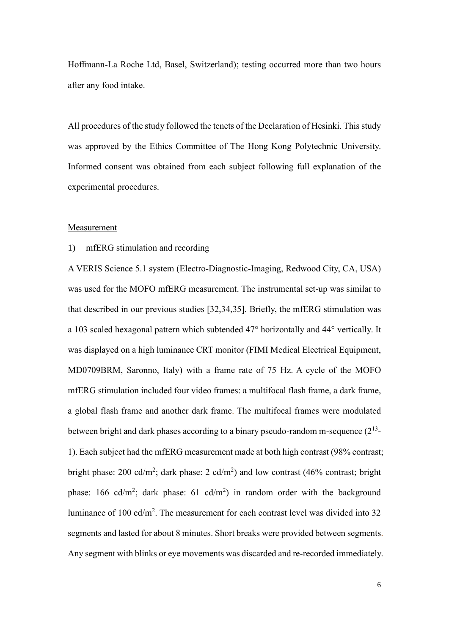Hoffmann-La Roche Ltd, Basel, Switzerland); testing occurred more than two hours after any food intake.

All procedures of the study followed the tenets of the Declaration of Hesinki. This study was approved by the Ethics Committee of The Hong Kong Polytechnic University. Informed consent was obtained from each subject following full explanation of the experimental procedures.

#### Measurement

#### 1) mfERG stimulation and recording

A VERIS Science 5.1 system (Electro-Diagnostic-Imaging, Redwood City, CA, USA) was used for the MOFO mfERG measurement. The instrumental set-up was similar to that described in our previous studies [32,34,35]. Briefly, the mfERG stimulation was a 103 scaled hexagonal pattern which subtended 47° horizontally and 44° vertically. It was displayed on a high luminance CRT monitor (FIMI Medical Electrical Equipment, MD0709BRM, Saronno, Italy) with a frame rate of 75 Hz. A cycle of the MOFO mfERG stimulation included four video frames: a multifocal flash frame, a dark frame, a global flash frame and another dark frame. The multifocal frames were modulated between bright and dark phases according to a binary pseudo-random m-sequence  $(2^{13}$ -1). Each subject had the mfERG measurement made at both high contrast (98% contrast; bright phase: 200 cd/m<sup>2</sup>; dark phase: 2 cd/m<sup>2</sup>) and low contrast (46% contrast; bright phase: 166 cd/m<sup>2</sup>; dark phase: 61 cd/m<sup>2</sup>) in random order with the background luminance of 100 cd/m<sup>2</sup>. The measurement for each contrast level was divided into 32 segments and lasted for about 8 minutes. Short breaks were provided between segments. Any segment with blinks or eye movements was discarded and re-recorded immediately.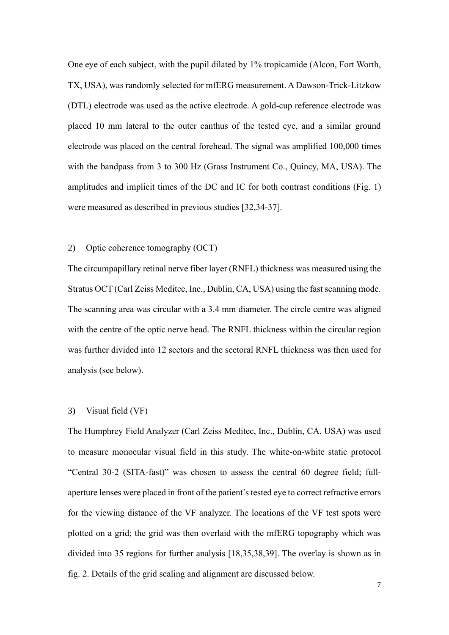One eye of each subject, with the pupil dilated by 1% tropicamide (Alcon, Fort Worth, TX, USA), was randomly selected for mfERG measurement. A Dawson-Trick-Litzkow (DTL) electrode was used as the active electrode. A gold-cup reference electrode was placed 10 mm lateral to the outer canthus of the tested eye, and a similar ground electrode was placed on the central forehead. The signal was amplified 100,000 times with the bandpass from 3 to 300 Hz (Grass Instrument Co., Quincy, MA, USA). The amplitudes and implicit times of the DC and IC for both contrast conditions (Fig. 1) were measured as described in previous studies [32,34-37].

#### 2) Optic coherence tomography (OCT)

The circumpapillary retinal nerve fiber layer (RNFL) thickness was measured using the Stratus OCT (Carl Zeiss Meditec, Inc., Dublin, CA, USA) using the fast scanning mode. The scanning area was circular with a 3.4 mm diameter. The circle centre was aligned with the centre of the optic nerve head. The RNFL thickness within the circular region was further divided into 12 sectors and the sectoral RNFL thickness was then used for analysis (see below).

#### 3) Visual field (VF)

The Humphrey Field Analyzer (Carl Zeiss Meditec, Inc., Dublin, CA, USA) was used to measure monocular visual field in this study. The white-on-white static protocol "Central 30-2 (SITA-fast)" was chosen to assess the central 60 degree field; fullaperture lenses were placed in front of the patient's tested eye to correct refractive errors for the viewing distance of the VF analyzer. The locations of the VF test spots were plotted on a grid; the grid was then overlaid with the mfERG topography which was divided into 35 regions for further analysis [18,35,38,39]. The overlay is shown as in fig. 2. Details of the grid scaling and alignment are discussed below.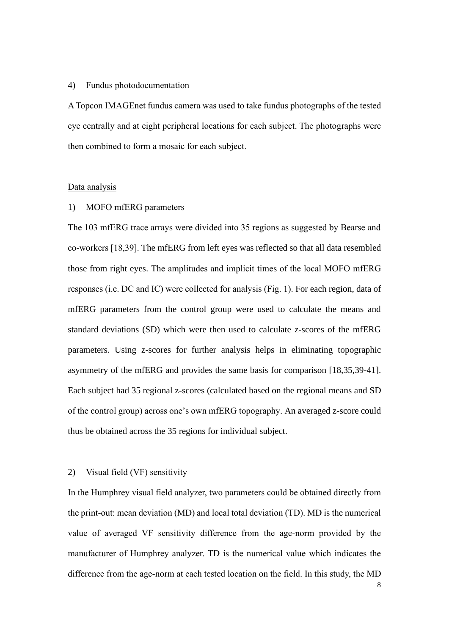#### 4) Fundus photodocumentation

A Topcon IMAGEnet fundus camera was used to take fundus photographs of the tested eye centrally and at eight peripheral locations for each subject. The photographs were then combined to form a mosaic for each subject.

#### Data analysis

#### 1) MOFO mfERG parameters

The 103 mfERG trace arrays were divided into 35 regions as suggested by Bearse and co-workers [18,39]. The mfERG from left eyes was reflected so that all data resembled those from right eyes. The amplitudes and implicit times of the local MOFO mfERG responses (i.e. DC and IC) were collected for analysis (Fig. 1). For each region, data of mfERG parameters from the control group were used to calculate the means and standard deviations (SD) which were then used to calculate z-scores of the mfERG parameters. Using z-scores for further analysis helps in eliminating topographic asymmetry of the mfERG and provides the same basis for comparison [18,35,39-41]. Each subject had 35 regional z-scores (calculated based on the regional means and SD of the control group) across one's own mfERG topography. An averaged z-score could thus be obtained across the 35 regions for individual subject.

#### 2) Visual field (VF) sensitivity

In the Humphrey visual field analyzer, two parameters could be obtained directly from the print-out: mean deviation (MD) and local total deviation (TD). MD is the numerical value of averaged VF sensitivity difference from the age-norm provided by the manufacturer of Humphrey analyzer. TD is the numerical value which indicates the difference from the age-norm at each tested location on the field. In this study, the MD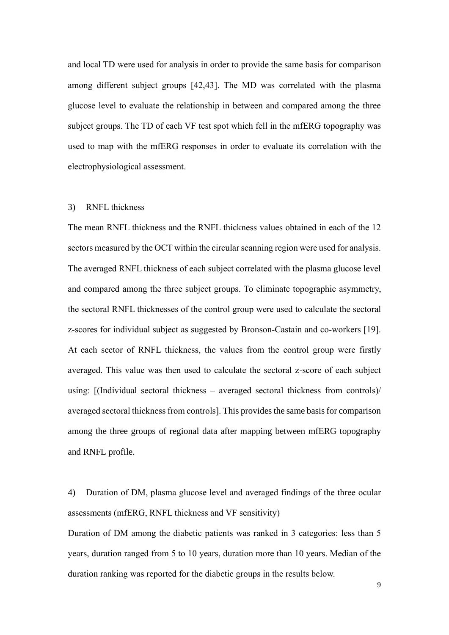and local TD were used for analysis in order to provide the same basis for comparison among different subject groups [42,43]. The MD was correlated with the plasma glucose level to evaluate the relationship in between and compared among the three subject groups. The TD of each VF test spot which fell in the mfERG topography was used to map with the mfERG responses in order to evaluate its correlation with the electrophysiological assessment.

#### 3) RNFL thickness

The mean RNFL thickness and the RNFL thickness values obtained in each of the 12 sectors measured by the OCT within the circular scanning region were used for analysis. The averaged RNFL thickness of each subject correlated with the plasma glucose level and compared among the three subject groups. To eliminate topographic asymmetry, the sectoral RNFL thicknesses of the control group were used to calculate the sectoral z-scores for individual subject as suggested by Bronson-Castain and co-workers [19]. At each sector of RNFL thickness, the values from the control group were firstly averaged. This value was then used to calculate the sectoral z-score of each subject using: [(Individual sectoral thickness – averaged sectoral thickness from controls)/ averaged sectoral thickness from controls]. This provides the same basis for comparison among the three groups of regional data after mapping between mfERG topography and RNFL profile.

4) Duration of DM, plasma glucose level and averaged findings of the three ocular assessments (mfERG, RNFL thickness and VF sensitivity)

Duration of DM among the diabetic patients was ranked in 3 categories: less than 5 years, duration ranged from 5 to 10 years, duration more than 10 years. Median of the duration ranking was reported for the diabetic groups in the results below.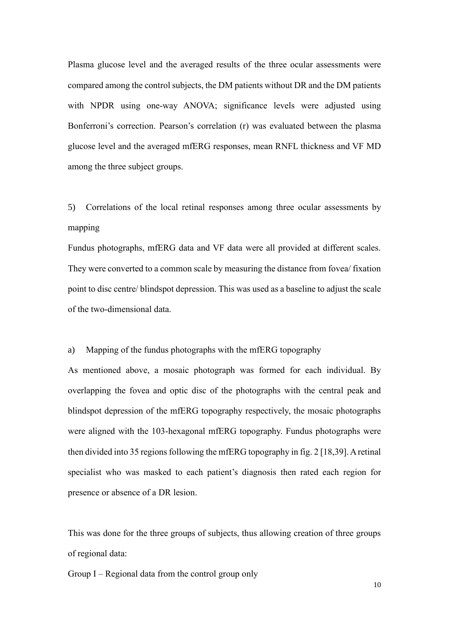Plasma glucose level and the averaged results of the three ocular assessments were compared among the control subjects, the DM patients without DR and the DM patients with NPDR using one-way ANOVA; significance levels were adjusted using Bonferroni's correction. Pearson's correlation (r) was evaluated between the plasma glucose level and the averaged mfERG responses, mean RNFL thickness and VF MD among the three subject groups.

5) Correlations of the local retinal responses among three ocular assessments by mapping

Fundus photographs, mfERG data and VF data were all provided at different scales. They were converted to a common scale by measuring the distance from fovea/ fixation point to disc centre/ blindspot depression. This was used as a baseline to adjust the scale of the two-dimensional data.

a) Mapping of the fundus photographs with the mfERG topography

As mentioned above, a mosaic photograph was formed for each individual. By overlapping the fovea and optic disc of the photographs with the central peak and blindspot depression of the mfERG topography respectively, the mosaic photographs were aligned with the 103-hexagonal mfERG topography. Fundus photographs were then divided into 35 regions following the mfERG topography in fig.  $2$  [18,39]. A retinal specialist who was masked to each patient's diagnosis then rated each region for presence or absence of a DR lesion.

This was done for the three groups of subjects, thus allowing creation of three groups of regional data:

Group I – Regional data from the control group only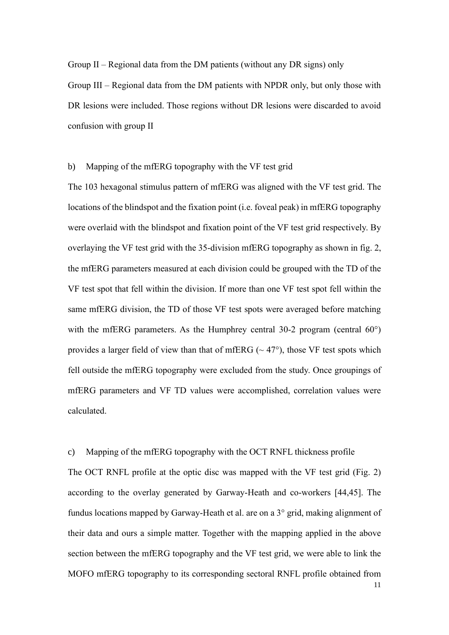Group II – Regional data from the DM patients (without any DR signs) only

Group III – Regional data from the DM patients with NPDR only, but only those with DR lesions were included. Those regions without DR lesions were discarded to avoid confusion with group II

b) Mapping of the mfERG topography with the VF test grid

The 103 hexagonal stimulus pattern of mfERG was aligned with the VF test grid. The locations of the blindspot and the fixation point (i.e. foveal peak) in mfERG topography were overlaid with the blindspot and fixation point of the VF test grid respectively. By overlaying the VF test grid with the 35-division mfERG topography as shown in fig. 2, the mfERG parameters measured at each division could be grouped with the TD of the VF test spot that fell within the division. If more than one VF test spot fell within the same mfERG division, the TD of those VF test spots were averaged before matching with the mfERG parameters. As the Humphrey central 30-2 program (central 60°) provides a larger field of view than that of mfERG ( $\sim$  47 $\degree$ ), those VF test spots which fell outside the mfERG topography were excluded from the study. Once groupings of mfERG parameters and VF TD values were accomplished, correlation values were calculated.

#### c) Mapping of the mfERG topography with the OCT RNFL thickness profile

The OCT RNFL profile at the optic disc was mapped with the VF test grid (Fig. 2) according to the overlay generated by Garway-Heath and co-workers [44,45]. The fundus locations mapped by Garway-Heath et al. are on a 3° grid, making alignment of their data and ours a simple matter. Together with the mapping applied in the above section between the mfERG topography and the VF test grid, we were able to link the MOFO mfERG topography to its corresponding sectoral RNFL profile obtained from

11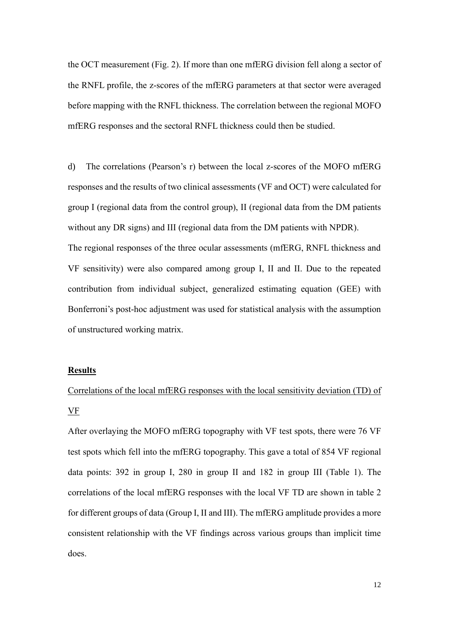the OCT measurement (Fig. 2). If more than one mfERG division fell along a sector of the RNFL profile, the z-scores of the mfERG parameters at that sector were averaged before mapping with the RNFL thickness. The correlation between the regional MOFO mfERG responses and the sectoral RNFL thickness could then be studied.

d) The correlations (Pearson's r) between the local z-scores of the MOFO mfERG responses and the results of two clinical assessments (VF and OCT) were calculated for group I (regional data from the control group), II (regional data from the DM patients without any DR signs) and III (regional data from the DM patients with NPDR). The regional responses of the three ocular assessments (mfERG, RNFL thickness and VF sensitivity) were also compared among group I, II and II. Due to the repeated contribution from individual subject, generalized estimating equation (GEE) with Bonferroni's post-hoc adjustment was used for statistical analysis with the assumption of unstructured working matrix.

#### **Results**

Correlations of the local mfERG responses with the local sensitivity deviation (TD) of VF

After overlaying the MOFO mfERG topography with VF test spots, there were 76 VF test spots which fell into the mfERG topography. This gave a total of 854 VF regional data points: 392 in group I, 280 in group II and 182 in group III (Table 1). The correlations of the local mfERG responses with the local VF TD are shown in table 2 for different groups of data (Group I, II and III). The mfERG amplitude provides a more consistent relationship with the VF findings across various groups than implicit time does.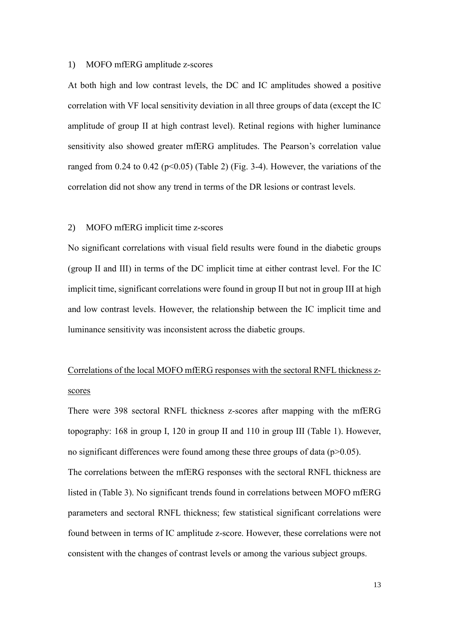#### 1) MOFO mfERG amplitude z-scores

At both high and low contrast levels, the DC and IC amplitudes showed a positive correlation with VF local sensitivity deviation in all three groups of data (except the IC amplitude of group II at high contrast level). Retinal regions with higher luminance sensitivity also showed greater mfERG amplitudes. The Pearson's correlation value ranged from 0.24 to 0.42 ( $p<0.05$ ) (Table 2) (Fig. 3-4). However, the variations of the correlation did not show any trend in terms of the DR lesions or contrast levels.

#### 2) MOFO mfERG implicit time z-scores

No significant correlations with visual field results were found in the diabetic groups (group II and III) in terms of the DC implicit time at either contrast level. For the IC implicit time, significant correlations were found in group II but not in group III at high and low contrast levels. However, the relationship between the IC implicit time and luminance sensitivity was inconsistent across the diabetic groups.

# Correlations of the local MOFO mfERG responses with the sectoral RNFL thickness zscores

There were 398 sectoral RNFL thickness z-scores after mapping with the mfERG topography: 168 in group I, 120 in group II and 110 in group III (Table 1). However, no significant differences were found among these three groups of data ( $p$  $>$ 0.05). The correlations between the mfERG responses with the sectoral RNFL thickness are listed in (Table 3). No significant trends found in correlations between MOFO mfERG parameters and sectoral RNFL thickness; few statistical significant correlations were found between in terms of IC amplitude z-score. However, these correlations were not consistent with the changes of contrast levels or among the various subject groups.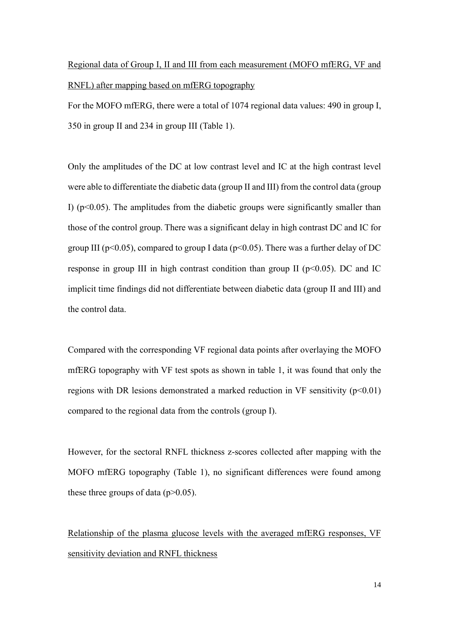# Regional data of Group I, II and III from each measurement (MOFO mfERG, VF and RNFL) after mapping based on mfERG topography

For the MOFO mfERG, there were a total of 1074 regional data values: 490 in group I, 350 in group II and 234 in group III (Table 1).

Only the amplitudes of the DC at low contrast level and IC at the high contrast level were able to differentiate the diabetic data (group II and III) from the control data (group I) ( $p$ <0.05). The amplitudes from the diabetic groups were significantly smaller than those of the control group. There was a significant delay in high contrast DC and IC for group III ( $p<0.05$ ), compared to group I data ( $p<0.05$ ). There was a further delay of DC response in group III in high contrast condition than group II ( $p<0.05$ ). DC and IC implicit time findings did not differentiate between diabetic data (group II and III) and the control data.

Compared with the corresponding VF regional data points after overlaying the MOFO mfERG topography with VF test spots as shown in table 1, it was found that only the regions with DR lesions demonstrated a marked reduction in VF sensitivity  $(p<0.01)$ compared to the regional data from the controls (group I).

However, for the sectoral RNFL thickness z-scores collected after mapping with the MOFO mfERG topography (Table 1), no significant differences were found among these three groups of data  $(p>0.05)$ .

Relationship of the plasma glucose levels with the averaged mfERG responses, VF sensitivity deviation and RNFL thickness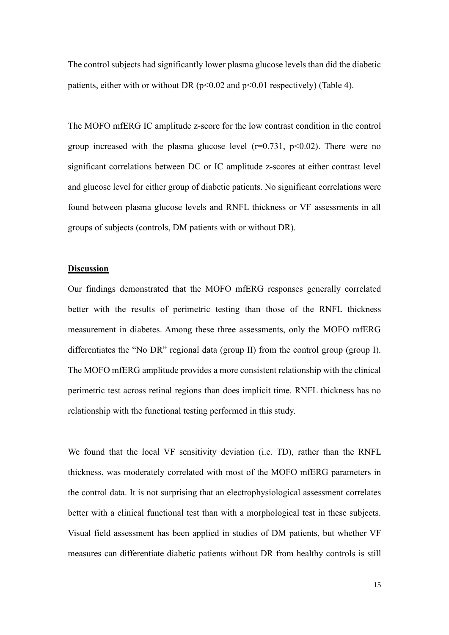The control subjects had significantly lower plasma glucose levels than did the diabetic patients, either with or without DR ( $p<0.02$  and  $p<0.01$  respectively) (Table 4).

The MOFO mfERG IC amplitude z-score for the low contrast condition in the control group increased with the plasma glucose level  $(r=0.731, p<0.02)$ . There were no significant correlations between DC or IC amplitude z-scores at either contrast level and glucose level for either group of diabetic patients. No significant correlations were found between plasma glucose levels and RNFL thickness or VF assessments in all groups of subjects (controls, DM patients with or without DR).

#### **Discussion**

Our findings demonstrated that the MOFO mfERG responses generally correlated better with the results of perimetric testing than those of the RNFL thickness measurement in diabetes. Among these three assessments, only the MOFO mfERG differentiates the "No DR" regional data (group II) from the control group (group I). The MOFO mfERG amplitude provides a more consistent relationship with the clinical perimetric test across retinal regions than does implicit time. RNFL thickness has no relationship with the functional testing performed in this study.

We found that the local VF sensitivity deviation (i.e. TD), rather than the RNFL thickness, was moderately correlated with most of the MOFO mfERG parameters in the control data. It is not surprising that an electrophysiological assessment correlates better with a clinical functional test than with a morphological test in these subjects. Visual field assessment has been applied in studies of DM patients, but whether VF measures can differentiate diabetic patients without DR from healthy controls is still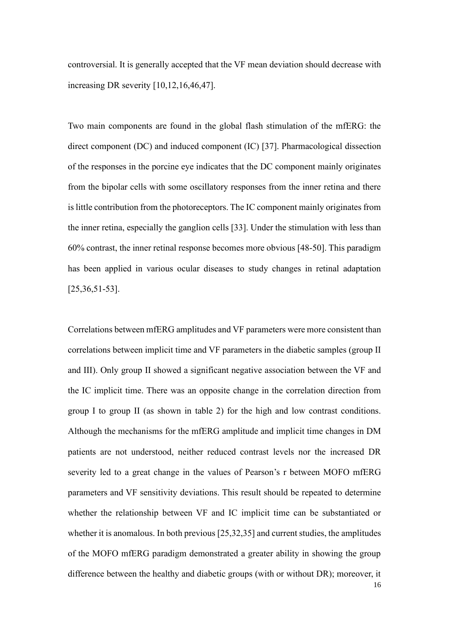controversial. It is generally accepted that the VF mean deviation should decrease with increasing DR severity [10,12,16,46,47].

Two main components are found in the global flash stimulation of the mfERG: the direct component (DC) and induced component (IC) [37]. Pharmacological dissection of the responses in the porcine eye indicates that the DC component mainly originates from the bipolar cells with some oscillatory responses from the inner retina and there is little contribution from the photoreceptors. The IC component mainly originates from the inner retina, especially the ganglion cells [33]. Under the stimulation with less than 60% contrast, the inner retinal response becomes more obvious [48-50]. This paradigm has been applied in various ocular diseases to study changes in retinal adaptation [25,36,51-53].

Correlations between mfERG amplitudes and VF parameters were more consistent than correlations between implicit time and VF parameters in the diabetic samples (group II and III). Only group II showed a significant negative association between the VF and the IC implicit time. There was an opposite change in the correlation direction from group I to group II (as shown in table 2) for the high and low contrast conditions. Although the mechanisms for the mfERG amplitude and implicit time changes in DM patients are not understood, neither reduced contrast levels nor the increased DR severity led to a great change in the values of Pearson's r between MOFO mfERG parameters and VF sensitivity deviations. This result should be repeated to determine whether the relationship between VF and IC implicit time can be substantiated or whether it is anomalous. In both previous [25,32,35] and current studies, the amplitudes of the MOFO mfERG paradigm demonstrated a greater ability in showing the group difference between the healthy and diabetic groups (with or without DR); moreover, it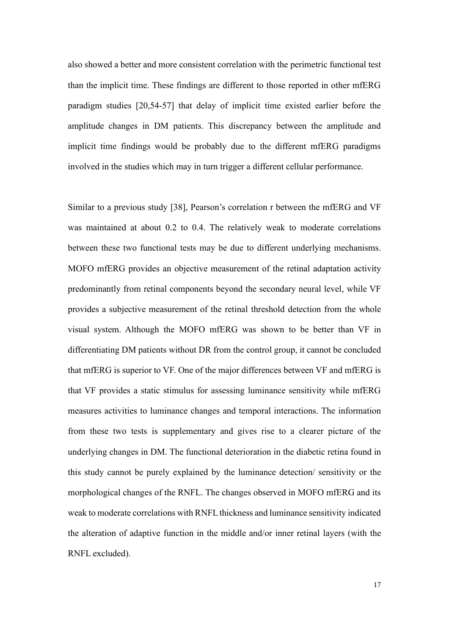also showed a better and more consistent correlation with the perimetric functional test than the implicit time. These findings are different to those reported in other mfERG paradigm studies [20,54-57] that delay of implicit time existed earlier before the amplitude changes in DM patients. This discrepancy between the amplitude and implicit time findings would be probably due to the different mfERG paradigms involved in the studies which may in turn trigger a different cellular performance.

Similar to a previous study [38], Pearson's correlation r between the mfERG and VF was maintained at about 0.2 to 0.4. The relatively weak to moderate correlations between these two functional tests may be due to different underlying mechanisms. MOFO mfERG provides an objective measurement of the retinal adaptation activity predominantly from retinal components beyond the secondary neural level, while VF provides a subjective measurement of the retinal threshold detection from the whole visual system. Although the MOFO mfERG was shown to be better than VF in differentiating DM patients without DR from the control group, it cannot be concluded that mfERG is superior to VF. One of the major differences between VF and mfERG is that VF provides a static stimulus for assessing luminance sensitivity while mfERG measures activities to luminance changes and temporal interactions. The information from these two tests is supplementary and gives rise to a clearer picture of the underlying changes in DM. The functional deterioration in the diabetic retina found in this study cannot be purely explained by the luminance detection/ sensitivity or the morphological changes of the RNFL. The changes observed in MOFO mfERG and its weak to moderate correlations with RNFL thickness and luminance sensitivity indicated the alteration of adaptive function in the middle and/or inner retinal layers (with the RNFL excluded).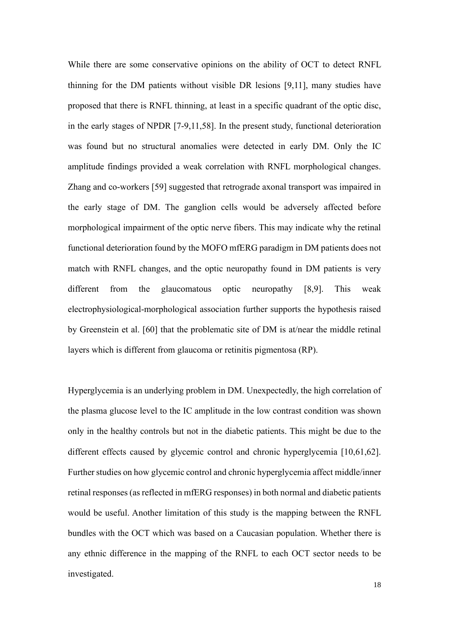While there are some conservative opinions on the ability of OCT to detect RNFL thinning for the DM patients without visible DR lesions [9,11], many studies have proposed that there is RNFL thinning, at least in a specific quadrant of the optic disc, in the early stages of NPDR [7-9,11,58]. In the present study, functional deterioration was found but no structural anomalies were detected in early DM. Only the IC amplitude findings provided a weak correlation with RNFL morphological changes. Zhang and co-workers [59] suggested that retrograde axonal transport was impaired in the early stage of DM. The ganglion cells would be adversely affected before morphological impairment of the optic nerve fibers. This may indicate why the retinal functional deterioration found by the MOFO mfERG paradigm in DM patients does not match with RNFL changes, and the optic neuropathy found in DM patients is very different from the glaucomatous optic neuropathy [8,9]. This weak electrophysiological-morphological association further supports the hypothesis raised by Greenstein et al. [60] that the problematic site of DM is at/near the middle retinal layers which is different from glaucoma or retinitis pigmentosa (RP).

Hyperglycemia is an underlying problem in DM. Unexpectedly, the high correlation of the plasma glucose level to the IC amplitude in the low contrast condition was shown only in the healthy controls but not in the diabetic patients. This might be due to the different effects caused by glycemic control and chronic hyperglycemia [10,61,62]. Further studies on how glycemic control and chronic hyperglycemia affect middle/inner retinal responses (as reflected in mfERG responses) in both normal and diabetic patients would be useful. Another limitation of this study is the mapping between the RNFL bundles with the OCT which was based on a Caucasian population. Whether there is any ethnic difference in the mapping of the RNFL to each OCT sector needs to be investigated.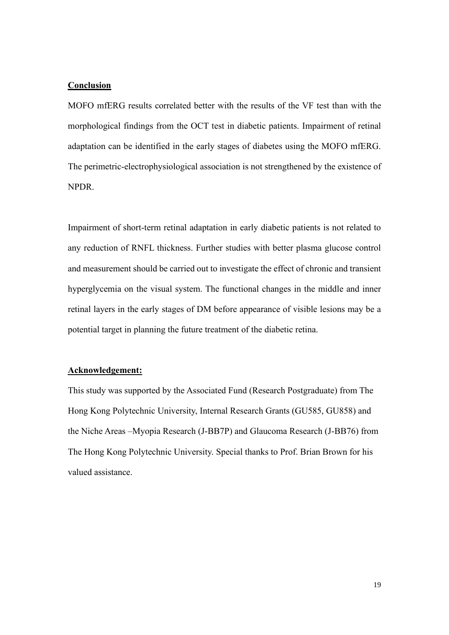#### **Conclusion**

MOFO mfERG results correlated better with the results of the VF test than with the morphological findings from the OCT test in diabetic patients. Impairment of retinal adaptation can be identified in the early stages of diabetes using the MOFO mfERG. The perimetric-electrophysiological association is not strengthened by the existence of NPDR.

Impairment of short-term retinal adaptation in early diabetic patients is not related to any reduction of RNFL thickness. Further studies with better plasma glucose control and measurement should be carried out to investigate the effect of chronic and transient hyperglycemia on the visual system. The functional changes in the middle and inner retinal layers in the early stages of DM before appearance of visible lesions may be a potential target in planning the future treatment of the diabetic retina.

#### **Acknowledgement:**

This study was supported by the Associated Fund (Research Postgraduate) from The Hong Kong Polytechnic University, Internal Research Grants (GU585, GU858) and the Niche Areas –Myopia Research (J-BB7P) and Glaucoma Research (J-BB76) from The Hong Kong Polytechnic University. Special thanks to Prof. Brian Brown for his valued assistance.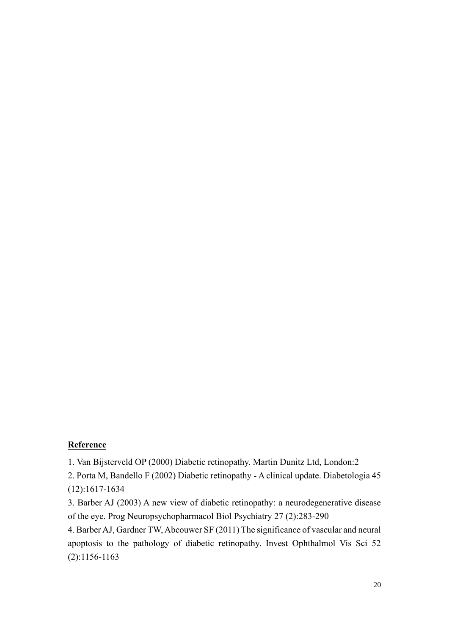## **Reference**

1. Van Bijsterveld OP (2000) Diabetic retinopathy. Martin Dunitz Ltd, London:2

2. Porta M, Bandello F (2002) Diabetic retinopathy - A clinical update. Diabetologia 45 (12):1617-1634

3. Barber AJ (2003) A new view of diabetic retinopathy: a neurodegenerative disease of the eye. Prog Neuropsychopharmacol Biol Psychiatry 27 (2):283-290

4. Barber AJ, Gardner TW, Abcouwer SF (2011) The significance of vascular and neural apoptosis to the pathology of diabetic retinopathy. Invest Ophthalmol Vis Sci 52 (2):1156-1163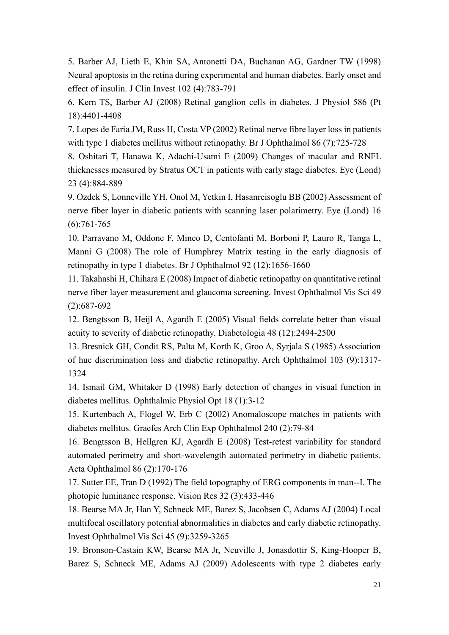5. Barber AJ, Lieth E, Khin SA, Antonetti DA, Buchanan AG, Gardner TW (1998) Neural apoptosis in the retina during experimental and human diabetes. Early onset and effect of insulin. J Clin Invest 102 (4):783-791

6. Kern TS, Barber AJ (2008) Retinal ganglion cells in diabetes. J Physiol 586 (Pt 18):4401-4408

7. Lopes de Faria JM, Russ H, Costa VP (2002) Retinal nerve fibre layer loss in patients with type 1 diabetes mellitus without retinopathy. Br J Ophthalmol 86 (7):725-728

8. Oshitari T, Hanawa K, Adachi-Usami E (2009) Changes of macular and RNFL thicknesses measured by Stratus OCT in patients with early stage diabetes. Eye (Lond) 23 (4):884-889

9. Ozdek S, Lonneville YH, Onol M, Yetkin I, Hasanreisoglu BB (2002) Assessment of nerve fiber layer in diabetic patients with scanning laser polarimetry. Eye (Lond) 16  $(6):761-765$ 

10. Parravano M, Oddone F, Mineo D, Centofanti M, Borboni P, Lauro R, Tanga L, Manni G (2008) The role of Humphrey Matrix testing in the early diagnosis of retinopathy in type 1 diabetes. Br J Ophthalmol 92 (12):1656-1660

11. Takahashi H, Chihara E (2008) Impact of diabetic retinopathy on quantitative retinal nerve fiber layer measurement and glaucoma screening. Invest Ophthalmol Vis Sci 49 (2):687-692

12. Bengtsson B, Heijl A, Agardh E (2005) Visual fields correlate better than visual acuity to severity of diabetic retinopathy. Diabetologia 48 (12):2494-2500

13. Bresnick GH, Condit RS, Palta M, Korth K, Groo A, Syrjala S (1985) Association of hue discrimination loss and diabetic retinopathy. Arch Ophthalmol 103 (9):1317- 1324

14. Ismail GM, Whitaker D (1998) Early detection of changes in visual function in diabetes mellitus. Ophthalmic Physiol Opt 18 (1):3-12

15. Kurtenbach A, Flogel W, Erb C (2002) Anomaloscope matches in patients with diabetes mellitus. Graefes Arch Clin Exp Ophthalmol 240 (2):79-84

16. Bengtsson B, Hellgren KJ, Agardh E (2008) Test-retest variability for standard automated perimetry and short-wavelength automated perimetry in diabetic patients. Acta Ophthalmol 86 (2):170-176

17. Sutter EE, Tran D (1992) The field topography of ERG components in man--I. The photopic luminance response. Vision Res 32 (3):433-446

18. Bearse MA Jr, Han Y, Schneck ME, Barez S, Jacobsen C, Adams AJ (2004) Local multifocal oscillatory potential abnormalities in diabetes and early diabetic retinopathy. Invest Ophthalmol Vis Sci 45 (9):3259-3265

19. Bronson-Castain KW, Bearse MA Jr, Neuville J, Jonasdottir S, King-Hooper B, Barez S, Schneck ME, Adams AJ (2009) Adolescents with type 2 diabetes early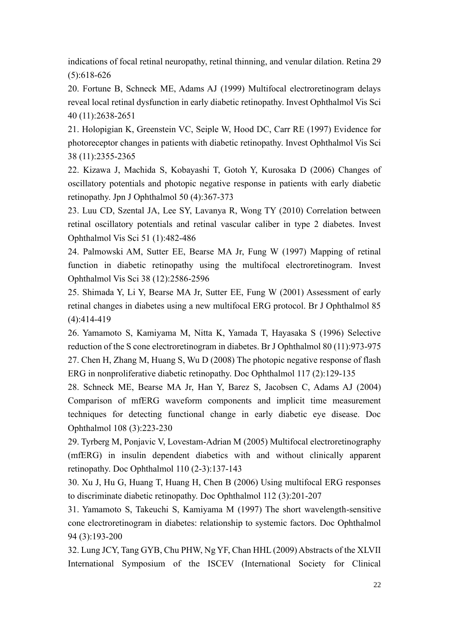indications of focal retinal neuropathy, retinal thinning, and venular dilation. Retina 29 (5):618-626

20. Fortune B, Schneck ME, Adams AJ (1999) Multifocal electroretinogram delays reveal local retinal dysfunction in early diabetic retinopathy. Invest Ophthalmol Vis Sci 40 (11):2638-2651

21. Holopigian K, Greenstein VC, Seiple W, Hood DC, Carr RE (1997) Evidence for photoreceptor changes in patients with diabetic retinopathy. Invest Ophthalmol Vis Sci 38 (11):2355-2365

22. Kizawa J, Machida S, Kobayashi T, Gotoh Y, Kurosaka D (2006) Changes of oscillatory potentials and photopic negative response in patients with early diabetic retinopathy. Jpn J Ophthalmol 50 (4):367-373

23. Luu CD, Szental JA, Lee SY, Lavanya R, Wong TY (2010) Correlation between retinal oscillatory potentials and retinal vascular caliber in type 2 diabetes. Invest Ophthalmol Vis Sci 51 (1):482-486

24. Palmowski AM, Sutter EE, Bearse MA Jr, Fung W (1997) Mapping of retinal function in diabetic retinopathy using the multifocal electroretinogram. Invest Ophthalmol Vis Sci 38 (12):2586-2596

25. Shimada Y, Li Y, Bearse MA Jr, Sutter EE, Fung W (2001) Assessment of early retinal changes in diabetes using a new multifocal ERG protocol. Br J Ophthalmol 85 (4):414-419

26. Yamamoto S, Kamiyama M, Nitta K, Yamada T, Hayasaka S (1996) Selective reduction of the S cone electroretinogram in diabetes. Br J Ophthalmol 80 (11):973-975 27. Chen H, Zhang M, Huang S, Wu D (2008) The photopic negative response of flash ERG in nonproliferative diabetic retinopathy. Doc Ophthalmol 117 (2):129-135

28. Schneck ME, Bearse MA Jr, Han Y, Barez S, Jacobsen C, Adams AJ (2004) Comparison of mfERG waveform components and implicit time measurement techniques for detecting functional change in early diabetic eye disease. Doc Ophthalmol 108 (3):223-230

29. Tyrberg M, Ponjavic V, Lovestam-Adrian M (2005) Multifocal electroretinography (mfERG) in insulin dependent diabetics with and without clinically apparent retinopathy. Doc Ophthalmol 110 (2-3):137-143

30. Xu J, Hu G, Huang T, Huang H, Chen B (2006) Using multifocal ERG responses to discriminate diabetic retinopathy. Doc Ophthalmol 112 (3):201-207

31. Yamamoto S, Takeuchi S, Kamiyama M (1997) The short wavelength-sensitive cone electroretinogram in diabetes: relationship to systemic factors. Doc Ophthalmol 94 (3):193-200

32. Lung JCY, Tang GYB, Chu PHW, Ng YF, Chan HHL (2009) Abstracts of the XLVII International Symposium of the ISCEV (International Society for Clinical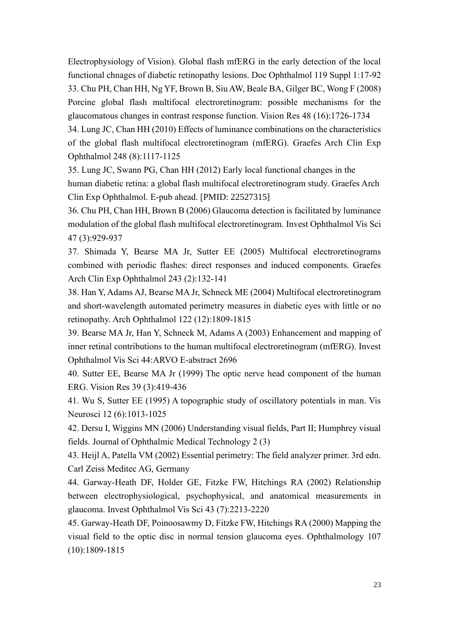Electrophysiology of Vision). Global flash mfERG in the early detection of the local functional chnages of diabetic retinopathy lesions. Doc Ophthalmol 119 Suppl 1:17-92 33. Chu PH, Chan HH, Ng YF, Brown B, Siu AW, Beale BA, Gilger BC, Wong F (2008) Porcine global flash multifocal electroretinogram: possible mechanisms for the glaucomatous changes in contrast response function. Vision Res 48 (16):1726-1734

34. Lung JC, Chan HH (2010) Effects of luminance combinations on the characteristics of the global flash multifocal electroretinogram (mfERG). Graefes Arch Clin Exp Ophthalmol 248 (8):1117-1125

35. Lung JC, Swann PG, Chan HH (2012) Early local functional changes in the human diabetic retina: a global flash multifocal electroretinogram study. Graefes Arch Clin Exp Ophthalmol. E-pub ahead. [PMID: 22527315]

36. Chu PH, Chan HH, Brown B (2006) Glaucoma detection is facilitated by luminance modulation of the global flash multifocal electroretinogram. Invest Ophthalmol Vis Sci 47 (3):929-937

37. Shimada Y, Bearse MA Jr, Sutter EE (2005) Multifocal electroretinograms combined with periodic flashes: direct responses and induced components. Graefes Arch Clin Exp Ophthalmol 243 (2):132-141

38. Han Y, Adams AJ, Bearse MA Jr, Schneck ME (2004) Multifocal electroretinogram and short-wavelength automated perimetry measures in diabetic eyes with little or no retinopathy. Arch Ophthalmol 122 (12):1809-1815

39. Bearse MA Jr, Han Y, Schneck M, Adams A (2003) Enhancement and mapping of inner retinal contributions to the human multifocal electroretinogram (mfERG). Invest Ophthalmol Vis Sci 44:ARVO E-abstract 2696

40. Sutter EE, Bearse MA Jr (1999) The optic nerve head component of the human ERG. Vision Res 39 (3):419-436

41. Wu S, Sutter EE (1995) A topographic study of oscillatory potentials in man. Vis Neurosci 12 (6):1013-1025

42. Dersu I, Wiggins MN (2006) Understanding visual fields, Part II; Humphrey visual fields. Journal of Ophthalmic Medical Technology 2 (3)

43. Heijl A, Patella VM (2002) Essential perimetry: The field analyzer primer. 3rd edn. Carl Zeiss Meditec AG, Germany

44. Garway-Heath DF, Holder GE, Fitzke FW, Hitchings RA (2002) Relationship between electrophysiological, psychophysical, and anatomical measurements in glaucoma. Invest Ophthalmol Vis Sci 43 (7):2213-2220

45. Garway-Heath DF, Poinoosawmy D, Fitzke FW, Hitchings RA (2000) Mapping the visual field to the optic disc in normal tension glaucoma eyes. Ophthalmology 107 (10):1809-1815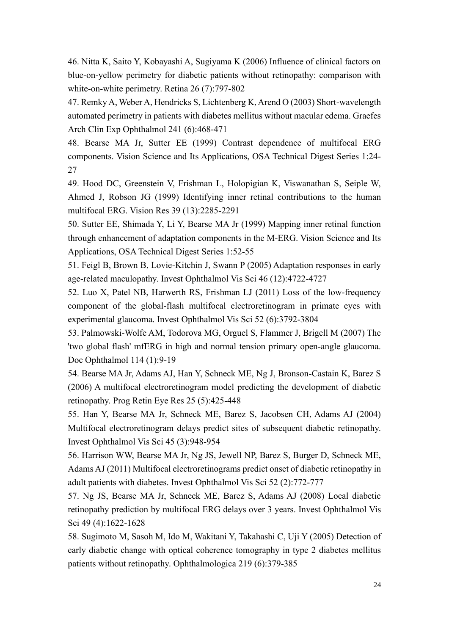46. Nitta K, Saito Y, Kobayashi A, Sugiyama K (2006) Influence of clinical factors on blue-on-yellow perimetry for diabetic patients without retinopathy: comparison with white-on-white perimetry. Retina 26 (7):797-802

47. Remky A, Weber A, Hendricks S, Lichtenberg K, Arend O (2003) Short-wavelength automated perimetry in patients with diabetes mellitus without macular edema. Graefes Arch Clin Exp Ophthalmol 241 (6):468-471

48. Bearse MA Jr, Sutter EE (1999) Contrast dependence of multifocal ERG components. Vision Science and Its Applications, OSA Technical Digest Series 1:24- 27

49. Hood DC, Greenstein V, Frishman L, Holopigian K, Viswanathan S, Seiple W, Ahmed J, Robson JG (1999) Identifying inner retinal contributions to the human multifocal ERG. Vision Res 39 (13):2285-2291

50. Sutter EE, Shimada Y, Li Y, Bearse MA Jr (1999) Mapping inner retinal function through enhancement of adaptation components in the M-ERG. Vision Science and Its Applications, OSA Technical Digest Series 1:52-55

51. Feigl B, Brown B, Lovie-Kitchin J, Swann P (2005) Adaptation responses in early age-related maculopathy. Invest Ophthalmol Vis Sci 46 (12):4722-4727

52. Luo X, Patel NB, Harwerth RS, Frishman LJ (2011) Loss of the low-frequency component of the global-flash multifocal electroretinogram in primate eyes with experimental glaucoma. Invest Ophthalmol Vis Sci 52 (6):3792-3804

53. Palmowski-Wolfe AM, Todorova MG, Orguel S, Flammer J, Brigell M (2007) The 'two global flash' mfERG in high and normal tension primary open-angle glaucoma. Doc Ophthalmol 114 (1):9-19

54. Bearse MA Jr, Adams AJ, Han Y, Schneck ME, Ng J, Bronson-Castain K, Barez S (2006) A multifocal electroretinogram model predicting the development of diabetic retinopathy. Prog Retin Eye Res 25 (5):425-448

55. Han Y, Bearse MA Jr, Schneck ME, Barez S, Jacobsen CH, Adams AJ (2004) Multifocal electroretinogram delays predict sites of subsequent diabetic retinopathy. Invest Ophthalmol Vis Sci 45 (3):948-954

56. Harrison WW, Bearse MA Jr, Ng JS, Jewell NP, Barez S, Burger D, Schneck ME, Adams AJ (2011) Multifocal electroretinograms predict onset of diabetic retinopathy in adult patients with diabetes. Invest Ophthalmol Vis Sci 52 (2):772-777

57. Ng JS, Bearse MA Jr, Schneck ME, Barez S, Adams AJ (2008) Local diabetic retinopathy prediction by multifocal ERG delays over 3 years. Invest Ophthalmol Vis Sci 49 (4):1622-1628

58. Sugimoto M, Sasoh M, Ido M, Wakitani Y, Takahashi C, Uji Y (2005) Detection of early diabetic change with optical coherence tomography in type 2 diabetes mellitus patients without retinopathy. Ophthalmologica 219 (6):379-385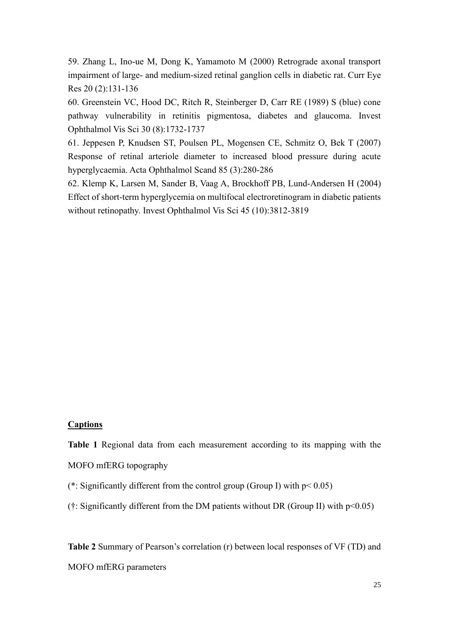59. Zhang L, Ino-ue M, Dong K, Yamamoto M (2000) Retrograde axonal transport impairment of large- and medium-sized retinal ganglion cells in diabetic rat. Curr Eye Res 20 (2):131-136

60. Greenstein VC, Hood DC, Ritch R, Steinberger D, Carr RE (1989) S (blue) cone pathway vulnerability in retinitis pigmentosa, diabetes and glaucoma. Invest Ophthalmol Vis Sci 30 (8):1732-1737

61. Jeppesen P, Knudsen ST, Poulsen PL, Mogensen CE, Schmitz O, Bek T (2007) Response of retinal arteriole diameter to increased blood pressure during acute hyperglycaemia. Acta Ophthalmol Scand 85 (3):280-286

62. Klemp K, Larsen M, Sander B, Vaag A, Brockhoff PB, Lund-Andersen H (2004) Effect of short-term hyperglycemia on multifocal electroretinogram in diabetic patients without retinopathy. Invest Ophthalmol Vis Sci 45 (10):3812-3819

### **Captions**

**Table 1** Regional data from each measurement according to its mapping with the MOFO mfERG topography

- (\*: Significantly different from the control group (Group I) with  $p < 0.05$ )
- (†: Significantly different from the DM patients without DR (Group II) with p<0.05)

**Table 2** Summary of Pearson's correlation (r) between local responses of VF (TD) and MOFO mfERG parameters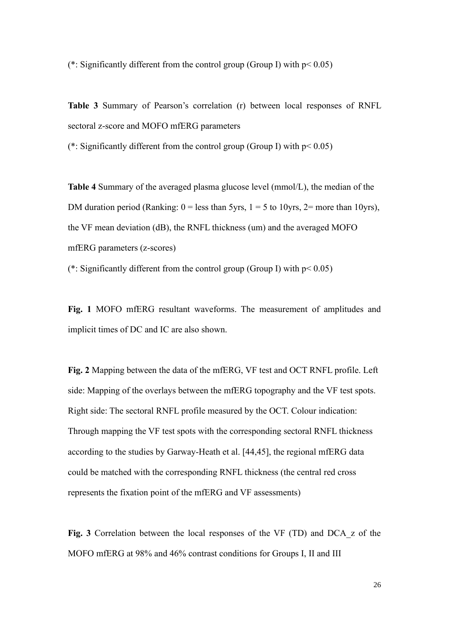(\*: Significantly different from the control group (Group I) with  $p < 0.05$ )

**Table 3** Summary of Pearson's correlation (r) between local responses of RNFL sectoral z-score and MOFO mfERG parameters

(\*: Significantly different from the control group (Group I) with  $p < 0.05$ )

**Table 4** Summary of the averaged plasma glucose level (mmol/L), the median of the DM duration period (Ranking:  $0 =$  less than 5yrs,  $1 = 5$  to 10yrs,  $2 =$  more than 10yrs), the VF mean deviation (dB), the RNFL thickness (um) and the averaged MOFO mfERG parameters (z-scores)

(\*: Significantly different from the control group (Group I) with  $p < 0.05$ )

**Fig. 1** MOFO mfERG resultant waveforms. The measurement of amplitudes and implicit times of DC and IC are also shown.

**Fig. 2** Mapping between the data of the mfERG, VF test and OCT RNFL profile. Left side: Mapping of the overlays between the mfERG topography and the VF test spots. Right side: The sectoral RNFL profile measured by the OCT. Colour indication: Through mapping the VF test spots with the corresponding sectoral RNFL thickness according to the studies by Garway-Heath et al. [44,45], the regional mfERG data could be matched with the corresponding RNFL thickness (the central red cross represents the fixation point of the mfERG and VF assessments)

**Fig. 3** Correlation between the local responses of the VF (TD) and DCA\_z of the MOFO mfERG at 98% and 46% contrast conditions for Groups I, II and III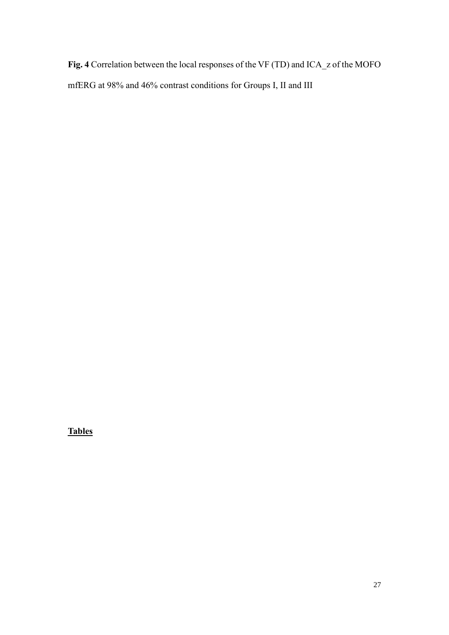**Fig. 4** Correlation between the local responses of the VF (TD) and ICA\_z of the MOFO mfERG at 98% and 46% contrast conditions for Groups I, II and III

**Tables**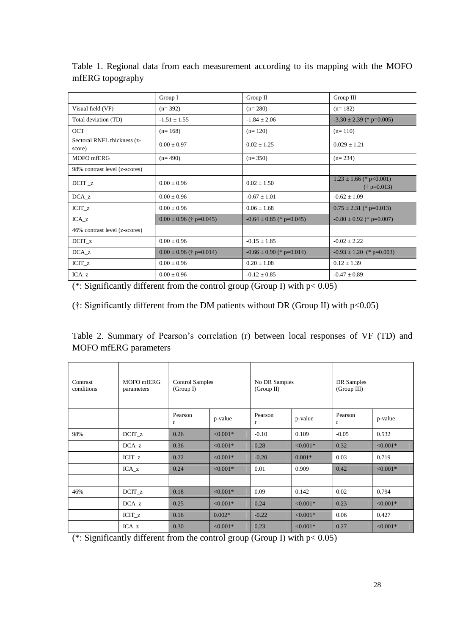| Group III<br>Group I<br>Group II<br>Visual field (VF)<br>$(n=392)$<br>$(n=280)$<br>$(n=182)$<br>Total deviation (TD)<br>$-1.51 \pm 1.55$<br>$-1.84 \pm 2.06$<br>$-3.30 \pm 2.39$ (* p=0.005)<br><b>OCT</b><br>$(n=168)$<br>$(n=120)$<br>$(n=110)$<br>Sectoral RNFL thickness (z-<br>$0.00 \pm 0.97$<br>$0.02 \pm 1.25$<br>$0.029 \pm 1.21$<br>score)<br>MOFO mfERG<br>$(n=490)$<br>$(n=350)$<br>$(n=234)$<br>98% contrast level (z-scores)<br>$1.23 \pm 1.66$ (* p < 0.001)<br>$DCTT_2$<br>$0.00 \pm 0.96$<br>$0.02 \pm 1.50$<br>$(\dagger p=0.013)$<br>$DCA_z$<br>$0.00 \pm 0.96$<br>$-0.67 \pm 1.01$<br>$-0.62 \pm 1.09$<br>$ICIT_z$<br>$0.00 \pm 0.96$<br>$0.06 \pm 1.68$<br>$0.75 \pm 2.31$ (* p=0.013)<br>$ICA_z$<br>$0.00 \pm 0.96$ († p=0.045)<br>$-0.64 \pm 0.85$ (* p=0.045)<br>$-0.80 \pm 0.92$ (* p=0.007)<br>46% contrast level (z-scores)<br>$0.00 \pm 0.96$<br>$-0.15 \pm 1.85$<br>$-0.02 \pm 2.22$<br>$DCIT_z$<br>$DCA_z$<br>$0.00 \pm 0.96$ († p=0.014)<br>$-0.66 \pm 0.90$ (* p=0.014)<br>$-0.93 \pm 1.20$ (* p=0.003)<br>$ICIT_z$<br>$0.00 \pm 0.96$<br>$0.20 \pm 1.08$<br>$0.12 \pm 1.39$<br>$ICA_z$<br>$0.00 \pm 0.96$<br>$-0.12 \pm 0.85$<br>$-0.47 \pm 0.89$<br>(*: Significantly different from the control group (Group I) with $p < 0.05$ )<br>$(\dagger)$ : Significantly different from the DM patients without DR (Group II) with $p<0.05$ )<br>Table 2. Summary of Pearson's correlation (r) between local responses of VF (TD) and<br><b>MOFO</b> mfERG parameters<br>Contrast<br>MOFO mfERG<br><b>Control Samples</b><br>No DR Samples<br>DR Samples<br>(Group III)<br>conditions<br>(Group I)<br>(Group II)<br>parameters<br>Pearson<br>Pearson<br>Pearson<br>p-value<br>p-value<br>p-value<br>$\mathbf r$<br>$\bf r$<br>$\mathbf r$<br>0.26<br>${<}0.001*$<br>0.109<br>98%<br>$DCTT_z$<br>$-0.10$<br>$-0.05$<br>0.532<br>${<}0.001*$<br>0.36<br>${<}0.001*$<br>${<}0.001*$<br>$DCA_z$<br>0.28<br>0.32<br>0.22<br>$< 0.001*$<br>$-0.20$<br>$0.001*$<br>0.03<br>0.719<br>$ICIT_z$<br>0.909<br>${<}0.001*$<br>0.24<br>${<}0.001*$<br>$0.01\,$<br>0.42<br>$ICA_z$<br>0.794<br>0.18<br>${<}0.001*$<br>0.09<br>0.142<br>0.02<br>46%<br>$DCTT_z$<br>0.25<br>$< 0.001*$<br>$< 0.001*$<br>0.23<br>$< 0.001*$<br>$DCA_z$<br>0.24<br>$ICIT_z$<br>0.16<br>$0.002*$<br>$-0.22$<br>$< 0.001*$<br>0.06<br>0.427<br>$< 0.001*$<br>${<}0.001*$<br>$< 0.001*$<br>$ICA_z$<br>0.30<br>0.23<br>0.27<br>(*: Significantly different from the control group (Group I) with $p < 0.05$ ) | mfERG topography | Table 1. Regional data from each measurement according to its mapping with the MOFO |  |  |  |
|---------------------------------------------------------------------------------------------------------------------------------------------------------------------------------------------------------------------------------------------------------------------------------------------------------------------------------------------------------------------------------------------------------------------------------------------------------------------------------------------------------------------------------------------------------------------------------------------------------------------------------------------------------------------------------------------------------------------------------------------------------------------------------------------------------------------------------------------------------------------------------------------------------------------------------------------------------------------------------------------------------------------------------------------------------------------------------------------------------------------------------------------------------------------------------------------------------------------------------------------------------------------------------------------------------------------------------------------------------------------------------------------------------------------------------------------------------------------------------------------------------------------------------------------------------------------------------------------------------------------------------------------------------------------------------------------------------------------------------------------------------------------------------------------------------------------------------------------------------------------------------------------------------------------------------------------------------------------------------------------------------------------------------------------------------------------------------------------------------------------------------------------------------------------------------------------------------------------------------------------------------------------------------------------------------------------------------------------------------------------------------------------------------------------------------------------------------------------------------------------------|------------------|-------------------------------------------------------------------------------------|--|--|--|
|                                                                                                                                                                                                                                                                                                                                                                                                                                                                                                                                                                                                                                                                                                                                                                                                                                                                                                                                                                                                                                                                                                                                                                                                                                                                                                                                                                                                                                                                                                                                                                                                                                                                                                                                                                                                                                                                                                                                                                                                                                                                                                                                                                                                                                                                                                                                                                                                                                                                                                   |                  |                                                                                     |  |  |  |
|                                                                                                                                                                                                                                                                                                                                                                                                                                                                                                                                                                                                                                                                                                                                                                                                                                                                                                                                                                                                                                                                                                                                                                                                                                                                                                                                                                                                                                                                                                                                                                                                                                                                                                                                                                                                                                                                                                                                                                                                                                                                                                                                                                                                                                                                                                                                                                                                                                                                                                   |                  |                                                                                     |  |  |  |
|                                                                                                                                                                                                                                                                                                                                                                                                                                                                                                                                                                                                                                                                                                                                                                                                                                                                                                                                                                                                                                                                                                                                                                                                                                                                                                                                                                                                                                                                                                                                                                                                                                                                                                                                                                                                                                                                                                                                                                                                                                                                                                                                                                                                                                                                                                                                                                                                                                                                                                   |                  |                                                                                     |  |  |  |
|                                                                                                                                                                                                                                                                                                                                                                                                                                                                                                                                                                                                                                                                                                                                                                                                                                                                                                                                                                                                                                                                                                                                                                                                                                                                                                                                                                                                                                                                                                                                                                                                                                                                                                                                                                                                                                                                                                                                                                                                                                                                                                                                                                                                                                                                                                                                                                                                                                                                                                   |                  |                                                                                     |  |  |  |
|                                                                                                                                                                                                                                                                                                                                                                                                                                                                                                                                                                                                                                                                                                                                                                                                                                                                                                                                                                                                                                                                                                                                                                                                                                                                                                                                                                                                                                                                                                                                                                                                                                                                                                                                                                                                                                                                                                                                                                                                                                                                                                                                                                                                                                                                                                                                                                                                                                                                                                   |                  |                                                                                     |  |  |  |
|                                                                                                                                                                                                                                                                                                                                                                                                                                                                                                                                                                                                                                                                                                                                                                                                                                                                                                                                                                                                                                                                                                                                                                                                                                                                                                                                                                                                                                                                                                                                                                                                                                                                                                                                                                                                                                                                                                                                                                                                                                                                                                                                                                                                                                                                                                                                                                                                                                                                                                   |                  |                                                                                     |  |  |  |
|                                                                                                                                                                                                                                                                                                                                                                                                                                                                                                                                                                                                                                                                                                                                                                                                                                                                                                                                                                                                                                                                                                                                                                                                                                                                                                                                                                                                                                                                                                                                                                                                                                                                                                                                                                                                                                                                                                                                                                                                                                                                                                                                                                                                                                                                                                                                                                                                                                                                                                   |                  |                                                                                     |  |  |  |
|                                                                                                                                                                                                                                                                                                                                                                                                                                                                                                                                                                                                                                                                                                                                                                                                                                                                                                                                                                                                                                                                                                                                                                                                                                                                                                                                                                                                                                                                                                                                                                                                                                                                                                                                                                                                                                                                                                                                                                                                                                                                                                                                                                                                                                                                                                                                                                                                                                                                                                   |                  |                                                                                     |  |  |  |
|                                                                                                                                                                                                                                                                                                                                                                                                                                                                                                                                                                                                                                                                                                                                                                                                                                                                                                                                                                                                                                                                                                                                                                                                                                                                                                                                                                                                                                                                                                                                                                                                                                                                                                                                                                                                                                                                                                                                                                                                                                                                                                                                                                                                                                                                                                                                                                                                                                                                                                   |                  |                                                                                     |  |  |  |
|                                                                                                                                                                                                                                                                                                                                                                                                                                                                                                                                                                                                                                                                                                                                                                                                                                                                                                                                                                                                                                                                                                                                                                                                                                                                                                                                                                                                                                                                                                                                                                                                                                                                                                                                                                                                                                                                                                                                                                                                                                                                                                                                                                                                                                                                                                                                                                                                                                                                                                   |                  |                                                                                     |  |  |  |
|                                                                                                                                                                                                                                                                                                                                                                                                                                                                                                                                                                                                                                                                                                                                                                                                                                                                                                                                                                                                                                                                                                                                                                                                                                                                                                                                                                                                                                                                                                                                                                                                                                                                                                                                                                                                                                                                                                                                                                                                                                                                                                                                                                                                                                                                                                                                                                                                                                                                                                   |                  |                                                                                     |  |  |  |
|                                                                                                                                                                                                                                                                                                                                                                                                                                                                                                                                                                                                                                                                                                                                                                                                                                                                                                                                                                                                                                                                                                                                                                                                                                                                                                                                                                                                                                                                                                                                                                                                                                                                                                                                                                                                                                                                                                                                                                                                                                                                                                                                                                                                                                                                                                                                                                                                                                                                                                   |                  |                                                                                     |  |  |  |
|                                                                                                                                                                                                                                                                                                                                                                                                                                                                                                                                                                                                                                                                                                                                                                                                                                                                                                                                                                                                                                                                                                                                                                                                                                                                                                                                                                                                                                                                                                                                                                                                                                                                                                                                                                                                                                                                                                                                                                                                                                                                                                                                                                                                                                                                                                                                                                                                                                                                                                   |                  |                                                                                     |  |  |  |
|                                                                                                                                                                                                                                                                                                                                                                                                                                                                                                                                                                                                                                                                                                                                                                                                                                                                                                                                                                                                                                                                                                                                                                                                                                                                                                                                                                                                                                                                                                                                                                                                                                                                                                                                                                                                                                                                                                                                                                                                                                                                                                                                                                                                                                                                                                                                                                                                                                                                                                   |                  |                                                                                     |  |  |  |
|                                                                                                                                                                                                                                                                                                                                                                                                                                                                                                                                                                                                                                                                                                                                                                                                                                                                                                                                                                                                                                                                                                                                                                                                                                                                                                                                                                                                                                                                                                                                                                                                                                                                                                                                                                                                                                                                                                                                                                                                                                                                                                                                                                                                                                                                                                                                                                                                                                                                                                   |                  |                                                                                     |  |  |  |
|                                                                                                                                                                                                                                                                                                                                                                                                                                                                                                                                                                                                                                                                                                                                                                                                                                                                                                                                                                                                                                                                                                                                                                                                                                                                                                                                                                                                                                                                                                                                                                                                                                                                                                                                                                                                                                                                                                                                                                                                                                                                                                                                                                                                                                                                                                                                                                                                                                                                                                   |                  |                                                                                     |  |  |  |
|                                                                                                                                                                                                                                                                                                                                                                                                                                                                                                                                                                                                                                                                                                                                                                                                                                                                                                                                                                                                                                                                                                                                                                                                                                                                                                                                                                                                                                                                                                                                                                                                                                                                                                                                                                                                                                                                                                                                                                                                                                                                                                                                                                                                                                                                                                                                                                                                                                                                                                   |                  |                                                                                     |  |  |  |
|                                                                                                                                                                                                                                                                                                                                                                                                                                                                                                                                                                                                                                                                                                                                                                                                                                                                                                                                                                                                                                                                                                                                                                                                                                                                                                                                                                                                                                                                                                                                                                                                                                                                                                                                                                                                                                                                                                                                                                                                                                                                                                                                                                                                                                                                                                                                                                                                                                                                                                   |                  |                                                                                     |  |  |  |
|                                                                                                                                                                                                                                                                                                                                                                                                                                                                                                                                                                                                                                                                                                                                                                                                                                                                                                                                                                                                                                                                                                                                                                                                                                                                                                                                                                                                                                                                                                                                                                                                                                                                                                                                                                                                                                                                                                                                                                                                                                                                                                                                                                                                                                                                                                                                                                                                                                                                                                   |                  |                                                                                     |  |  |  |
|                                                                                                                                                                                                                                                                                                                                                                                                                                                                                                                                                                                                                                                                                                                                                                                                                                                                                                                                                                                                                                                                                                                                                                                                                                                                                                                                                                                                                                                                                                                                                                                                                                                                                                                                                                                                                                                                                                                                                                                                                                                                                                                                                                                                                                                                                                                                                                                                                                                                                                   |                  |                                                                                     |  |  |  |
|                                                                                                                                                                                                                                                                                                                                                                                                                                                                                                                                                                                                                                                                                                                                                                                                                                                                                                                                                                                                                                                                                                                                                                                                                                                                                                                                                                                                                                                                                                                                                                                                                                                                                                                                                                                                                                                                                                                                                                                                                                                                                                                                                                                                                                                                                                                                                                                                                                                                                                   |                  |                                                                                     |  |  |  |
|                                                                                                                                                                                                                                                                                                                                                                                                                                                                                                                                                                                                                                                                                                                                                                                                                                                                                                                                                                                                                                                                                                                                                                                                                                                                                                                                                                                                                                                                                                                                                                                                                                                                                                                                                                                                                                                                                                                                                                                                                                                                                                                                                                                                                                                                                                                                                                                                                                                                                                   |                  |                                                                                     |  |  |  |
|                                                                                                                                                                                                                                                                                                                                                                                                                                                                                                                                                                                                                                                                                                                                                                                                                                                                                                                                                                                                                                                                                                                                                                                                                                                                                                                                                                                                                                                                                                                                                                                                                                                                                                                                                                                                                                                                                                                                                                                                                                                                                                                                                                                                                                                                                                                                                                                                                                                                                                   |                  |                                                                                     |  |  |  |
|                                                                                                                                                                                                                                                                                                                                                                                                                                                                                                                                                                                                                                                                                                                                                                                                                                                                                                                                                                                                                                                                                                                                                                                                                                                                                                                                                                                                                                                                                                                                                                                                                                                                                                                                                                                                                                                                                                                                                                                                                                                                                                                                                                                                                                                                                                                                                                                                                                                                                                   |                  |                                                                                     |  |  |  |
|                                                                                                                                                                                                                                                                                                                                                                                                                                                                                                                                                                                                                                                                                                                                                                                                                                                                                                                                                                                                                                                                                                                                                                                                                                                                                                                                                                                                                                                                                                                                                                                                                                                                                                                                                                                                                                                                                                                                                                                                                                                                                                                                                                                                                                                                                                                                                                                                                                                                                                   |                  |                                                                                     |  |  |  |
|                                                                                                                                                                                                                                                                                                                                                                                                                                                                                                                                                                                                                                                                                                                                                                                                                                                                                                                                                                                                                                                                                                                                                                                                                                                                                                                                                                                                                                                                                                                                                                                                                                                                                                                                                                                                                                                                                                                                                                                                                                                                                                                                                                                                                                                                                                                                                                                                                                                                                                   |                  |                                                                                     |  |  |  |
| 28                                                                                                                                                                                                                                                                                                                                                                                                                                                                                                                                                                                                                                                                                                                                                                                                                                                                                                                                                                                                                                                                                                                                                                                                                                                                                                                                                                                                                                                                                                                                                                                                                                                                                                                                                                                                                                                                                                                                                                                                                                                                                                                                                                                                                                                                                                                                                                                                                                                                                                |                  |                                                                                     |  |  |  |

mfERG topography

| Contrast<br>conditions | MOFO mfERG<br>parameters | <b>Control Samples</b><br>(Group I) |            | No DR Samples<br>(Group II) |            | DR Samples<br>(Group III) |            |
|------------------------|--------------------------|-------------------------------------|------------|-----------------------------|------------|---------------------------|------------|
|                        |                          | Pearson<br>$\mathbf{r}$             | p-value    | Pearson<br>$\mathbf{r}$     | p-value    | Pearson<br>r              | p-value    |
| 98%                    | $DCIT_z$                 | 0.26                                | $< 0.001*$ | $-0.10$                     | 0.109      | $-0.05$                   | 0.532      |
|                        | $DCA_ Z$                 | 0.36                                | $< 0.001*$ | 0.28                        | $< 0.001*$ | 0.32                      | $< 0.001*$ |
|                        | $ICIT_z$                 | 0.22                                | $< 0.001*$ | $-0.20$                     | $0.001*$   | 0.03                      | 0.719      |
|                        | $ICA_z$                  | 0.24                                | $< 0.001*$ | 0.01                        | 0.909      | 0.42                      | $< 0.001*$ |
|                        |                          |                                     |            |                             |            |                           |            |
| 46%                    | $DCIT_z$                 | 0.18                                | $< 0.001*$ | 0.09                        | 0.142      | 0.02                      | 0.794      |
|                        | $DCA_ Z$                 | 0.25                                | $< 0.001*$ | 0.24                        | $< 0.001*$ | 0.23                      | $< 0.001*$ |
|                        | $ICIT_z$                 | 0.16                                | $0.002*$   | $-0.22$                     | $< 0.001*$ | 0.06                      | 0.427      |
|                        | $ICA_z$                  | 0.30                                | $< 0.001*$ | 0.23                        | $< 0.001*$ | 0.27                      | $< 0.001*$ |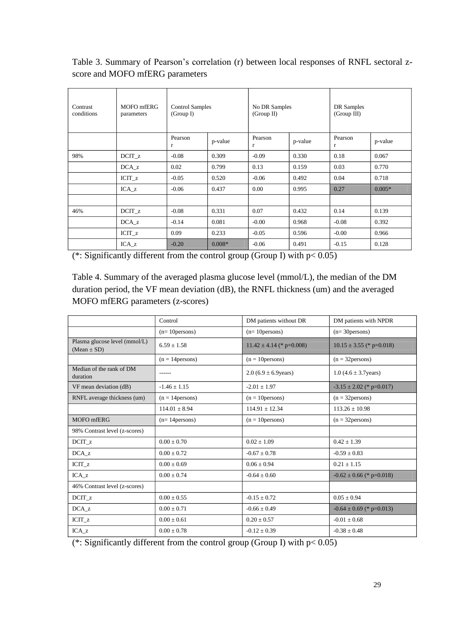score and MOFO mfERG parameters

| Contrast<br>conditions | MOFO mfERG<br>parameters | <b>Control Samples</b><br>(Group I) |          | No DR Samples<br>(Group II) |         | DR Samples<br>(Group III) |          |
|------------------------|--------------------------|-------------------------------------|----------|-----------------------------|---------|---------------------------|----------|
|                        |                          | Pearson<br>r                        | p-value  | Pearson<br>$\mathbf{r}$     | p-value | Pearson<br>r              | p-value  |
| 98%                    | DCIT <sub>z</sub>        | $-0.08$                             | 0.309    | $-0.09$                     | 0.330   | 0.18                      | 0.067    |
|                        | DCA z                    | 0.02                                | 0.799    | 0.13                        | 0.159   | 0.03                      | 0.770    |
|                        | ICIT <sub>z</sub>        | $-0.05$                             | 0.520    | $-0.06$                     | 0.492   | 0.04                      | 0.718    |
|                        | $ICA_z$                  | $-0.06$                             | 0.437    | $0.00\,$                    | 0.995   | 0.27                      | $0.005*$ |
|                        |                          |                                     |          |                             |         |                           |          |
| 46%                    | $DCIT_z$                 | $-0.08$                             | 0.331    | 0.07                        | 0.432   | 0.14                      | 0.139    |
|                        | $DCA_ z$                 | $-0.14$                             | 0.081    | $-0.00$                     | 0.968   | $-0.08$                   | 0.392    |
|                        | $ICIT_z$                 | 0.09                                | 0.233    | $-0.05$                     | 0.596   | $-0.00$                   | 0.966    |
|                        | $ICA_z$                  | $-0.20$                             | $0.008*$ | $-0.06$                     | 0.491   | $-0.15$                   | 0.128    |

| Contrast<br>conditions                                                                                                                                   | MOFO mfERG<br>parameters      | <b>Control Samples</b><br>(Group I)                                                       |          | (Group II)                                        | No DR Samples |                                                                                       | DR Samples<br>(Group III)    |  |
|----------------------------------------------------------------------------------------------------------------------------------------------------------|-------------------------------|-------------------------------------------------------------------------------------------|----------|---------------------------------------------------|---------------|---------------------------------------------------------------------------------------|------------------------------|--|
|                                                                                                                                                          |                               | Pearson<br>r                                                                              | p-value  | Pearson<br>r                                      | p-value       | Pearson<br>r                                                                          | p-value                      |  |
| 98%                                                                                                                                                      | $DCIT_z$                      | $-0.08$                                                                                   | 0.309    | $-0.09$                                           | 0.330         | 0.18                                                                                  | 0.067                        |  |
|                                                                                                                                                          | $DCA_z$                       | 0.02                                                                                      | 0.799    | 0.13                                              | 0.159         | 0.03                                                                                  | 0.770                        |  |
|                                                                                                                                                          | $ICIT_z$                      | $-0.05$                                                                                   | 0.520    | $-0.06$                                           | 0.492         | 0.04                                                                                  | 0.718                        |  |
|                                                                                                                                                          | $ICA_z$                       | $-0.06$                                                                                   | 0.437    | 0.00                                              | 0.995         | 0.27                                                                                  | $0.005*$                     |  |
|                                                                                                                                                          |                               |                                                                                           |          |                                                   |               |                                                                                       |                              |  |
| 46%                                                                                                                                                      | $DCIT_z$                      | $-0.08$                                                                                   | 0.331    | 0.07                                              | 0.432         | 0.14                                                                                  | 0.139                        |  |
|                                                                                                                                                          | DCA z                         | $-0.14$                                                                                   | 0.081    | $-0.00$                                           | 0.968         | $-0.08$                                                                               | 0.392                        |  |
|                                                                                                                                                          | $ICIT_z$                      | 0.09                                                                                      | 0.233    | $-0.05$                                           | 0.596         | $-0.00$                                                                               | 0.966                        |  |
|                                                                                                                                                          | $ICA_z$                       | $-0.20$<br>(*: Significantly different from the control group (Group I) with $p < 0.05$ ) | $0.008*$ | $-0.06$                                           | 0.491         | $-0.15$                                                                               | 0.128                        |  |
|                                                                                                                                                          |                               | MOFO mfERG parameters (z-scores)                                                          |          |                                                   |               | duration period, the VF mean deviation (dB), the RNFL thickness (um) and the averaged |                              |  |
|                                                                                                                                                          |                               | Control                                                                                   |          | DM patients without DR                            |               |                                                                                       | DM patients with NPDR        |  |
|                                                                                                                                                          | Plasma glucose level (mmol/L) | $(n=10)$ persons)                                                                         |          | $(n=10$ persons)                                  |               | $(n=30)$ persons)                                                                     |                              |  |
|                                                                                                                                                          |                               | $6.59 \pm 1.58$                                                                           |          | $11.42 \pm 4.14$ (* p=0.008)                      |               |                                                                                       | $10.15 \pm 3.55$ (* p=0.018) |  |
|                                                                                                                                                          |                               | $(n = 14$ persons)<br>------                                                              |          | $(n = 10$ persons)<br>$2.0$ (6.9 $\pm$ 6.9 years) |               | $(n = 32$ persons)<br>$1.0 (4.6 \pm 3.7)$ years)                                      |                              |  |
|                                                                                                                                                          |                               | $-1.46 \pm 1.15$                                                                          |          | $-2.01 \pm 1.97$                                  |               |                                                                                       | $-3.15 \pm 2.02$ (* p=0.017) |  |
|                                                                                                                                                          | RNFL average thickness (um)   | $(n = 14$ persons)                                                                        |          | $(n = 10$ persons)                                |               | $(n = 32$ persons)                                                                    |                              |  |
|                                                                                                                                                          |                               | $114.01 \pm 8.94$                                                                         |          | $114.91 \pm 12.34$                                |               | $113.26 \pm 10.98$                                                                    |                              |  |
|                                                                                                                                                          |                               | $(n=14$ persons)                                                                          |          | $(n = 10$ persons)                                |               | $(n = 32$ persons)                                                                    |                              |  |
|                                                                                                                                                          |                               |                                                                                           |          |                                                   |               |                                                                                       |                              |  |
|                                                                                                                                                          |                               | $0.00\pm0.70$                                                                             |          | $0.02 \pm 1.09$                                   |               | $0.42 \pm 1.39$                                                                       |                              |  |
| $(Mean \pm SD)$<br>Median of the rank of DM<br>duration<br>VF mean deviation (dB)<br>MOFO mfERG<br>98% Contrast level (z-scores)<br>$DCT_{Z}$<br>$DCA_z$ |                               | $0.00 \pm 0.72$                                                                           |          | $-0.67 \pm 0.78$                                  |               | $-0.59 \pm 0.83$                                                                      |                              |  |
| $ICIT_z$                                                                                                                                                 |                               | $0.00 \pm 0.69$                                                                           |          | $0.06 \pm 0.94$                                   |               | $0.21 \pm 1.15$                                                                       |                              |  |
| $ICA_z$                                                                                                                                                  |                               | $0.00 \pm 0.74$                                                                           |          | $-0.64 \pm 0.60$                                  |               |                                                                                       | $-0.62 \pm 0.66$ (* p=0.018) |  |
|                                                                                                                                                          |                               |                                                                                           |          |                                                   |               |                                                                                       |                              |  |
|                                                                                                                                                          |                               | $0.00\pm0.55$                                                                             |          | $-0.15\pm0.72$                                    |               | $0.05\pm0.94$                                                                         |                              |  |
|                                                                                                                                                          |                               | $0.00 \pm 0.71$                                                                           |          | $-0.66 \pm 0.49$                                  |               |                                                                                       | $-0.64 \pm 0.69$ (* p=0.013) |  |
| 46% Contrast level (z-scores)<br>$DCTT_z$<br>$DCA_z$<br>$ICIT_z$<br>$ICA_z$                                                                              |                               | $0.00 \pm 0.61$<br>$0.00 \pm 0.78$                                                        |          | $0.20 \pm 0.57$<br>$-0.12 \pm 0.39$               |               | $-0.01 \pm 0.68$<br>$-0.38 \pm 0.48$                                                  |                              |  |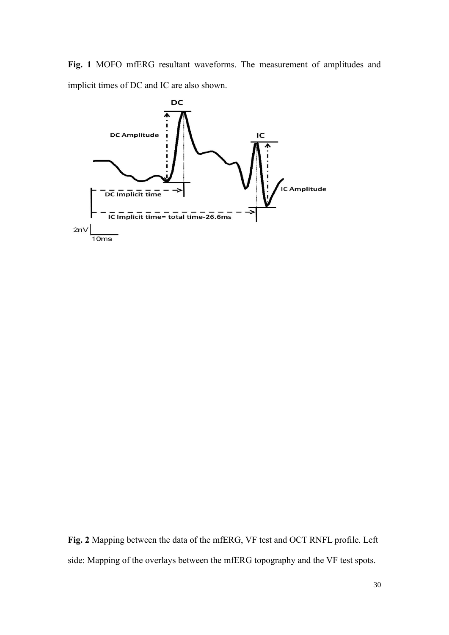**Fig. 1** MOFO mfERG resultant waveforms. The measurement of amplitudes and implicit times of DC and IC are also shown.



**Fig. 2** Mapping between the data of the mfERG, VF test and OCT RNFL profile. Left side: Mapping of the overlays between the mfERG topography and the VF test spots.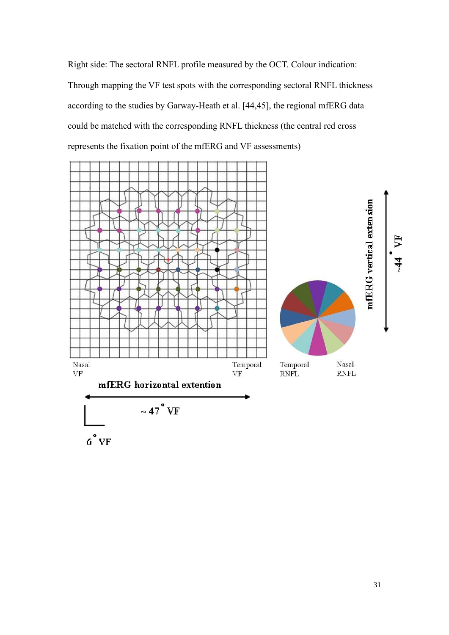Right side: The sectoral RNFL profile measured by the OCT. Colour indication: Through mapping the VF test spots with the corresponding sectoral RNFL thickness according to the studies by Garway-Heath et al. [44,45], the regional mfERG data could be matched with the corresponding RNFL thickness (the central red cross represents the fixation point of the mfERG and VF assessments)

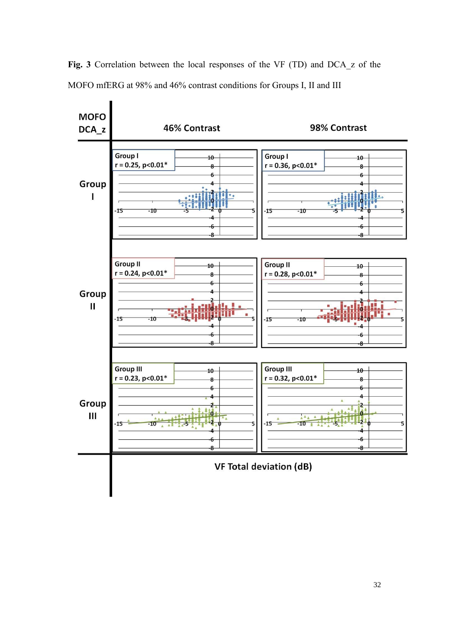

Fig. 3 Correlation between the local responses of the VF (TD) and DCA z of the MOFO mfERG at 98% and 46% contrast conditions for Groups I, II and III